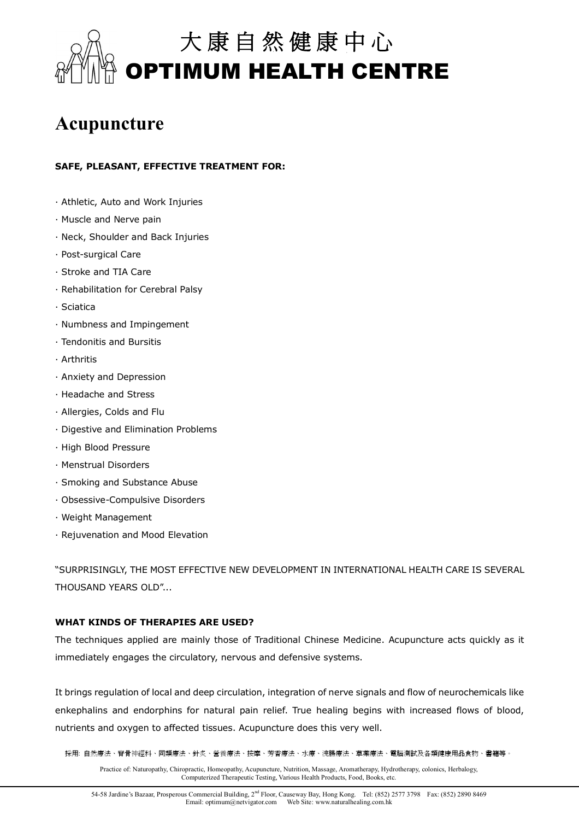

# **Acupuncture**

# **SAFE, PLEASANT, EFFECTIVE TREATMENT FOR:**

- · Athletic, Auto and Work Injuries
- · Muscle and Nerve pain
- · Neck, Shoulder and Back Injuries
- · Post-surgical Care
- · Stroke and TIA Care
- · Rehabilitation for Cerebral Palsy
- · Sciatica
- · Numbness and Impingement
- · Tendonitis and Bursitis
- · Arthritis
- · Anxiety and Depression
- · Headache and Stress
- · Allergies, Colds and Flu
- · Digestive and Elimination Problems
- · High Blood Pressure
- · Menstrual Disorders
- · Smoking and Substance Abuse
- · Obsessive-Compulsive Disorders
- · Weight Management
- · Rejuvenation and Mood Elevation

"SURPRISINGLY, THE MOST EFFECTIVE NEW DEVELOPMENT IN INTERNATIONAL HEALTH CARE IS SEVERAL THOUSAND YEARS OLD"...

### **WHAT KINDS OF THERAPIES ARE USED?**

The techniques applied are mainly those of Traditional Chinese Medicine. Acupuncture acts quickly as it immediately engages the circulatory, nervous and defensive systems.

It brings regulation of local and deep circulation, integration of nerve signals and flow of neurochemicals like enkephalins and endorphins for natural pain relief. True healing begins with increased flows of blood, nutrients and oxygen to affected tissues. Acupuncture does this very well.

採用: 自然療法、脊骨神經科、同類療法、針炙、營養療法、按摩、芳香療法、水療、浣腸療法、草藥療法、電腦測試及各類健康用品食物、書籍等。

Practice of: Naturopathy, Chiropractic, Homeopathy, Acupuncture, Nutrition, Massage, Aromatherapy, Hydrotherapy, colonics, Herbalogy, Computerized Therapeutic Testing, Various Health Products, Food, Books, etc.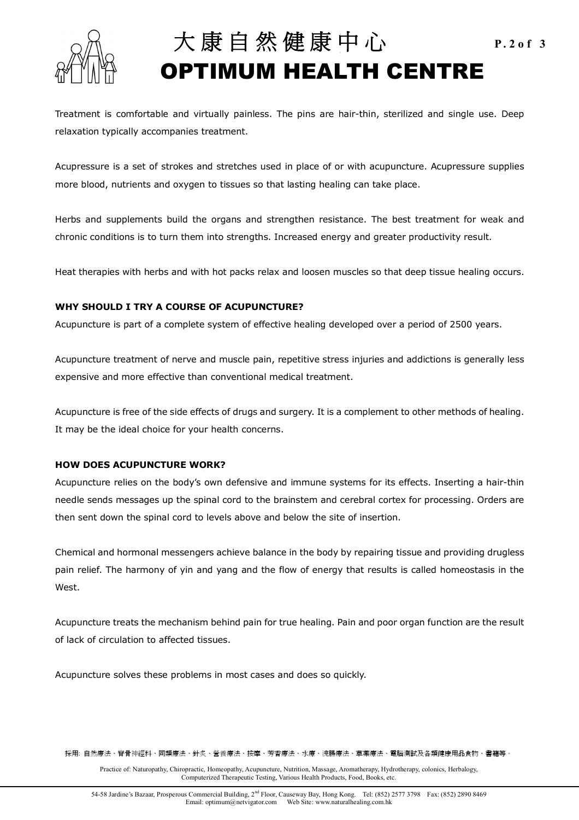

# 大 康 自 然 健 康 中 心 **P.2of 3 OPTIMUM HEALTH CENTRE**

Treatment is comfortable and virtually painless. The pins are hair-thin, sterilized and single use. Deep relaxation typically accompanies treatment.

Acupressure is a set of strokes and stretches used in place of or with acupuncture. Acupressure supplies more blood, nutrients and oxygen to tissues so that lasting healing can take place.

Herbs and supplements build the organs and strengthen resistance. The best treatment for weak and chronic conditions is to turn them into strengths. Increased energy and greater productivity result.

Heat therapies with herbs and with hot packs relax and loosen muscles so that deep tissue healing occurs.

## **WHY SHOULD I TRY A COURSE OF ACUPUNCTURE?**

Acupuncture is part of a complete system of effective healing developed over a period of 2500 years.

Acupuncture treatment of nerve and muscle pain, repetitive stress injuries and addictions is generally less expensive and more effective than conventional medical treatment.

Acupuncture is free of the side effects of drugs and surgery. It is a complement to other methods of healing. It may be the ideal choice for your health concerns.

### **HOW DOES ACUPUNCTURE WORK?**

Acupuncture relies on the body's own defensive and immune systems for its effects. Inserting a hair-thin needle sends messages up the spinal cord to the brainstem and cerebral cortex for processing. Orders are then sent down the spinal cord to levels above and below the site of insertion.

Chemical and hormonal messengers achieve balance in the body by repairing tissue and providing drugless pain relief. The harmony of yin and yang and the flow of energy that results is called homeostasis in the West.

Acupuncture treats the mechanism behind pain for true healing. Pain and poor organ function are the result of lack of circulation to affected tissues.

Acupuncture solves these problems in most cases and does so quickly.

採用: 自然療法、脊骨神經科、同類療法、針炙、營養療法、按摩、芳香療法、水療、浣腸療法、草藥療法、電腦測試及各類健康用品食物、書籍等。